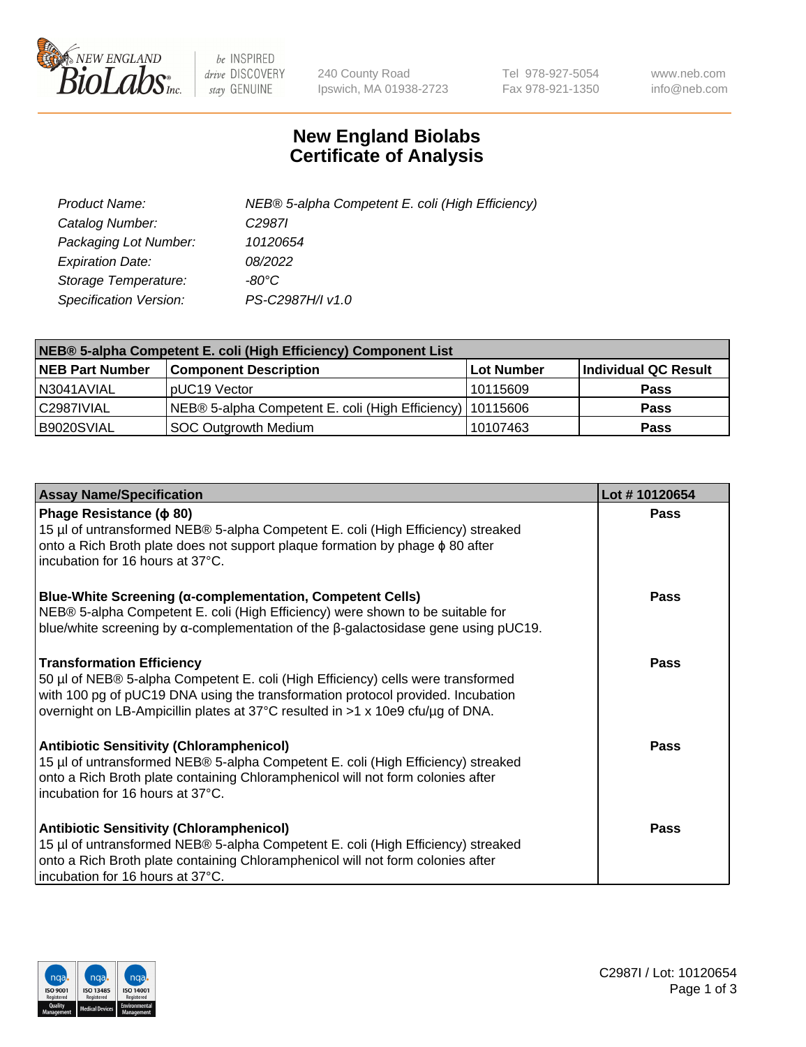

 $be$  INSPIRED drive DISCOVERY stay GENUINE

240 County Road Ipswich, MA 01938-2723 Tel 978-927-5054 Fax 978-921-1350 www.neb.com info@neb.com

## **New England Biolabs Certificate of Analysis**

| Product Name:           | NEB® 5-alpha Competent E. coli (High Efficiency) |
|-------------------------|--------------------------------------------------|
| Catalog Number:         | C <sub>2987</sub>                                |
| Packaging Lot Number:   | 10120654                                         |
| <b>Expiration Date:</b> | 08/2022                                          |
| Storage Temperature:    | -80°C                                            |
| Specification Version:  | PS-C2987H/I v1.0                                 |

| NEB® 5-alpha Competent E. coli (High Efficiency) Component List |                                                             |            |                      |  |
|-----------------------------------------------------------------|-------------------------------------------------------------|------------|----------------------|--|
| <b>NEB Part Number</b>                                          | <b>Component Description</b>                                | Lot Number | Individual QC Result |  |
| N3041AVIAL                                                      | pUC19 Vector                                                | 10115609   | <b>Pass</b>          |  |
| C2987IVIAL                                                      | NEB® 5-alpha Competent E. coli (High Efficiency)   10115606 |            | <b>Pass</b>          |  |
| B9020SVIAL                                                      | SOC Outgrowth Medium                                        | 10107463   | <b>Pass</b>          |  |

| <b>Assay Name/Specification</b>                                                                                                                                                                                                                                                           | Lot #10120654 |
|-------------------------------------------------------------------------------------------------------------------------------------------------------------------------------------------------------------------------------------------------------------------------------------------|---------------|
| Phage Resistance ( $\phi$ 80)<br>15 µl of untransformed NEB® 5-alpha Competent E. coli (High Efficiency) streaked<br>onto a Rich Broth plate does not support plaque formation by phage $\phi$ 80 after<br>incubation for 16 hours at 37°C.                                               | Pass          |
| <b>Blue-White Screening (α-complementation, Competent Cells)</b><br>NEB® 5-alpha Competent E. coli (High Efficiency) were shown to be suitable for<br>blue/white screening by $\alpha$ -complementation of the $\beta$ -galactosidase gene using pUC19.                                   | Pass          |
| <b>Transformation Efficiency</b><br>50 µl of NEB® 5-alpha Competent E. coli (High Efficiency) cells were transformed<br>with 100 pg of pUC19 DNA using the transformation protocol provided. Incubation<br>overnight on LB-Ampicillin plates at 37°C resulted in >1 x 10e9 cfu/µg of DNA. | Pass          |
| <b>Antibiotic Sensitivity (Chloramphenicol)</b><br>15 µl of untransformed NEB® 5-alpha Competent E. coli (High Efficiency) streaked<br>onto a Rich Broth plate containing Chloramphenicol will not form colonies after<br>incubation for 16 hours at 37°C.                                | Pass          |
| <b>Antibiotic Sensitivity (Chloramphenicol)</b><br>15 µl of untransformed NEB® 5-alpha Competent E. coli (High Efficiency) streaked<br>onto a Rich Broth plate containing Chloramphenicol will not form colonies after<br>incubation for 16 hours at 37°C.                                | <b>Pass</b>   |

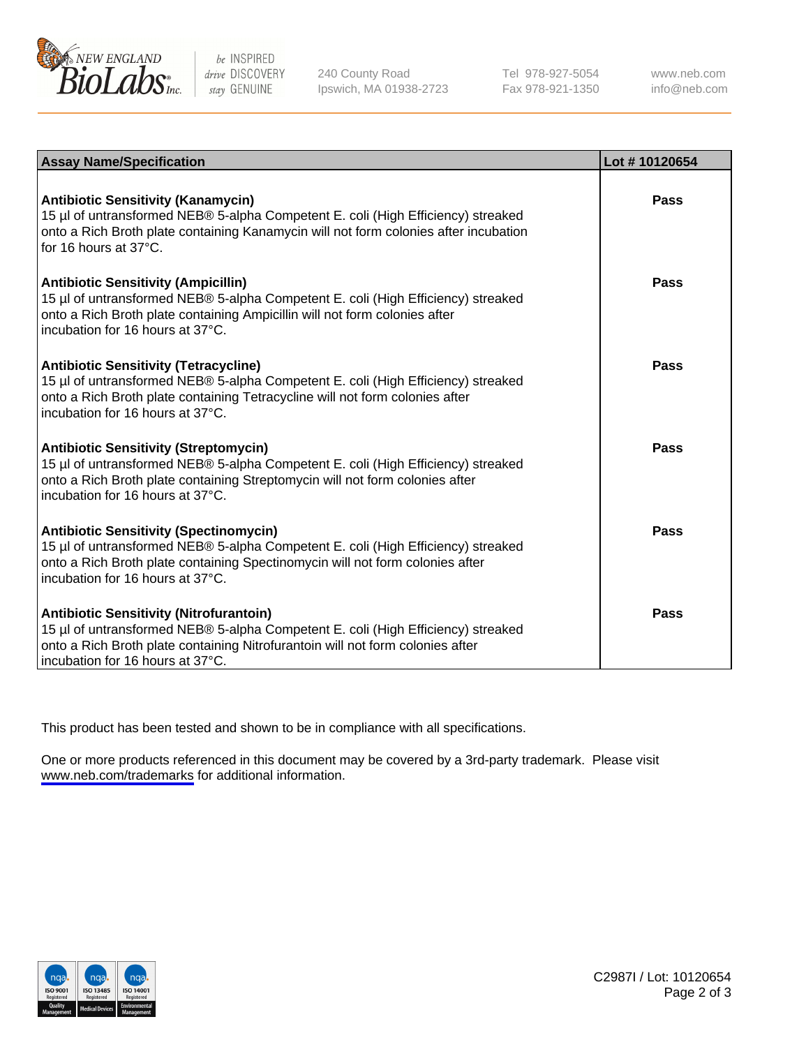

be INSPIRED drive DISCOVERY stay GENUINE

240 County Road Ipswich, MA 01938-2723 Tel 978-927-5054 Fax 978-921-1350

www.neb.com info@neb.com

| <b>Assay Name/Specification</b>                                                                                                                                                                                                                          | Lot #10120654 |
|----------------------------------------------------------------------------------------------------------------------------------------------------------------------------------------------------------------------------------------------------------|---------------|
| <b>Antibiotic Sensitivity (Kanamycin)</b><br>15 µl of untransformed NEB® 5-alpha Competent E. coli (High Efficiency) streaked<br>onto a Rich Broth plate containing Kanamycin will not form colonies after incubation<br>for 16 hours at 37°C.           | Pass          |
| <b>Antibiotic Sensitivity (Ampicillin)</b><br>15 µl of untransformed NEB® 5-alpha Competent E. coli (High Efficiency) streaked<br>onto a Rich Broth plate containing Ampicillin will not form colonies after<br>incubation for 16 hours at 37°C.         | Pass          |
| <b>Antibiotic Sensitivity (Tetracycline)</b><br>15 µl of untransformed NEB® 5-alpha Competent E. coli (High Efficiency) streaked<br>onto a Rich Broth plate containing Tetracycline will not form colonies after<br>incubation for 16 hours at 37°C.     | Pass          |
| <b>Antibiotic Sensitivity (Streptomycin)</b><br>15 µl of untransformed NEB® 5-alpha Competent E. coli (High Efficiency) streaked<br>onto a Rich Broth plate containing Streptomycin will not form colonies after<br>incubation for 16 hours at 37°C.     | Pass          |
| <b>Antibiotic Sensitivity (Spectinomycin)</b><br>15 µl of untransformed NEB® 5-alpha Competent E. coli (High Efficiency) streaked<br>onto a Rich Broth plate containing Spectinomycin will not form colonies after<br>incubation for 16 hours at 37°C.   | Pass          |
| <b>Antibiotic Sensitivity (Nitrofurantoin)</b><br>15 µl of untransformed NEB® 5-alpha Competent E. coli (High Efficiency) streaked<br>onto a Rich Broth plate containing Nitrofurantoin will not form colonies after<br>incubation for 16 hours at 37°C. | Pass          |

This product has been tested and shown to be in compliance with all specifications.

One or more products referenced in this document may be covered by a 3rd-party trademark. Please visit <www.neb.com/trademarks>for additional information.